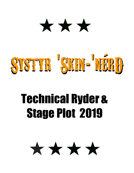## ★★★

# SYSTYR SMM-MERD

## Technical Ryder & Stage Plot 2019

## \*\*\*\*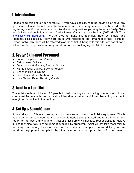## 1. Introduction

Please read this entire rider carefully. If you have difficulty reading anything or have any questions, please do not hesitate to contact us. You may contact the band directly regarding specific technical and/or miscellaneous questions you may have via Systyr Skinnerd's liaison & technical expert, Cathy Lauer. Cathy can reached at (562) 972-7855 or [info@systyrskin-nerd.com.](mailto:info@systyrskin-nerd.com) We've tried to make this technical rider as simple and responsive as possible. From here on in, with regards to the remainder of this 'Technical Ryder' Systyr Skin- nerd will be referred to as the 'Artist'. Changes to this rider are not allowed without written approval of management and/or our booking agent TMC Touring.

### 2. Systyr Skin-nerd Personnel

- Lauren Simpson: Lead Vocals
- Cathy Lauer: Guitars
- Deanna Hurst: Guitars, Backing Vocals
- Marija Krstic: Guitars, Backing Vocals
- Shannon Millard: Drums
- Leah Finkelstein: Keyboards
- Liza Carbe: Bass, Backing Vocals

## 3.Load In & Load Out

The Artist needs a minimum of 3 people for help loading and unloading of equipment. Local crew must be available from arrival until backline is set up and from dismantling start, until everything is packed in the vehicle.

## 4. Set Up & Sound Check

It may take up to 3 hours to set up and properly sound-check the Artist's equipment. This is based on the precondition that the local equipment is set up, tested and found in order and ready for the artist's arrival time. Artist or artist's crew will not take responsibility for delays due to technical failure of equipment supplied by organizer. Artist will not take responsibility for delays due to any technical failure of the equipment supplied and/or delivery of any backline equipment supplied by the venue and/or promoter of the event.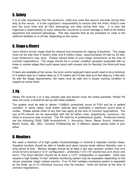## 5. Safety

It is of vital importance that the audience, artist and crew feel secure and safe during their stay at the venue. It is the organizer's responsibility to ensure that the Artist, Artist's crew and the local crew and all their belongings are safe during their stay. It is also the organizer's responsibility to have adequate insurance to cover damage or theft of the Artist's equipment and personal belongings. This also requires that all are protected on visits to the restroom facilities on or off site, depending on the venue.

## 6. Stage & Risers

Upon Artist's arrival, stage shall be cleared and prepared for rigging of backline. The stage must not be less than 8 meters wide and 6 meters deep, (approximately 24 feet by 20 feet; local dimensions may vary). Please advise Artist of your stage dimensions at the time of contract negotiations. The stage should be in proper condition (properly supported with no holes or uneven edges that could cause injury) with access only for Security, the Artist and local crew.

If risers are available at the venue, the drum and/or keyboard risers would need to be a minimum of 3 meters wide by 2 meters deep by 0.75 meters tall (10 feet wide by 6 feet deep by 2 feet tall). As with the Stage requirements, the risers must be safe and in proper working condition to support an active Artist.

## 7. PA

Stereo PA must be 3 or 4 way actively split and should cover the entire premises. Where PA does not cover, it should be set up with delay systems.

The system must be able to deliver 115dB(A) undistorted sound at FOH and be in perfect condition. In some cases, local and/or national laws implicates a maximum sound level or curfew. Please advise Artist of any that may apply at the time of contract negotiations. The use of PA should not be associated with risk for either crew, stagehands, audience, the Artist or everyone else involved. The PA shall be of professional quality. Preferred brands are the following: EAW, D&B Audiotechnik, L- Acoustics, Nexo, Meyer Sound, Adamson, Martin Audio, JBL, QSC, Yamaha Professional etc. If different, please advise Artist of your setup.

### 8. Monitors

We need a minimum of 6 high quality monitors/wedges in minimal 5 separate monitor mixes. Supplied monitors should be able to handle loud clean volume levels without distortion over a long period of time. Monitor wedges should be at least a two way speaker system (low end driver & horn) at least a 1x12" configuration - preferably 1x15" (15" woofer/low end driver and horn). The Drum Monitor should be at least a 1x15" configuration or equivalent. Artist may request a high Quality "In Ear" wireless monitoring system may be requested, depending on the venue, (example: larger outdoor events). If an "In Ear" wireless monitoring system is requested by the Artist, up to (7) individual sources may be needed - Artist will advise at the time of contract negotiations.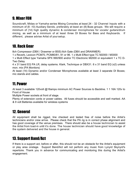## 9. Mixer FOH

Soundcraft, Midas or Yamaha series Mixing Consoles at least 24 - 32 Channel Inputs with a minimum of (8 -10) Auxiliary Sends, preferably at least an (8) Buss groups. We will require a minimum of (14) high quality dynamic & condenser microphones for vocals/ guitars/drum micing, as well as a minimum of at least three DI Boxes for Bass and Keyboards. If different, please advise Artist of your setup.

## 10. Rack Gear

8ch Compressor (DBX / Drawmer or BSS) 6ch Gate (DBX and DRAWMER)

1 x Reverb, Lexicon PCM70, PCM80/81, 91 or 96. 1 x Multi Effect type TC M2000 / M3000

1 x Multi Effect type Yamaha SPX 990/900 and/or TC Electronic M2000 or equivalent 1 x TC D-Two Delay

4 x 31 band EQ PA LR, delay systems. Klark, Technique or DBX31. 6 x 31 band EQ (x2) unless mon. mix (PA Monitors)

At least (14) Dynamic and/or Condenser Microphones available at least 3 separate DI Boxes; mic stands and cables.

## 11. Power

At least 3 available 120volt @16amps minimum AC Power Sources to Backline. 1 1 16A 120v to Front of House

Multiple Power sockets at front of stage.

Plenty of extension cords or power cables. All fuses should be accessible and well marked. AA & 9 volt Batteries available for wireless systems

## 12. General

All equipment shall be rigged, line checked and tested free of noise before the Artist's technicians and/or crew arrive. Please check that the PA rig is in correct phase alignment and has good coverage of the venue premises. There should also be a house technician to assist the Artist from load-in until it's done. The house technician should have good knowledge of the system delivered and the house in general.

## 13. Support Band/Act

If there is a support act, before or after, this should not be an obstacle for the Artist's equipment or play area onstage. Support Band/Act will not perform any music from Lynyrd Skynyrd's repertoire. Thank you in advance for communicating and monitoring this during the Artist's engagement.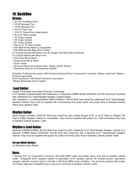## 14. Backline

#### Drums:

1 22"x18" Kick/Bass Drum 1 10"x8" Mounted Tom 1 12"x9" Mounted Tom 1 16"x14" Floor Tom 1 14"x7.5" Snare Drum (deep snare) 1 20 to 24" Ride Cymbal 1 18" Crash Cymbal 1 16" Crash Cymbal 1 20" Crash Cymbal 1 Pair of 14" Hi -Hat Cymbals 1 DW 9000 Hi-Hat Stand or comparable 1 DW 9000 Double Bass Drum Pedal 2 x Cymbal Stands with Boom Arm & a Single Tom Rack Mount Bracket 3 x Cymbal Stands with Boom Arm 1 Kick Drum Mic & Stand 1 Snare Drum Mic & Stand 1 Drum Carpet \* All Drums Must Have Brand New Heads (prefer Remo) \* Hardware Must be of Professional Quality

Drumkits: Professional grade DW/Yamaha /Gretsch/Pearl or equivalent Cymbals: Zildjian preferred/ Sabian / Paiste or equivalent Drum Hardware: DW/Pearl/Yamaha or equivalent \**Please Remember Drum Carpet!!*

#### Lead Guitar:

Fender Tonemaster Amp Head w/Fender Tonemaster

4/12" Speaker Cabinet loaded with Celestions or a Marshall JCM800 Model 2203/2204- 50/100 Watt Amp Top/Head with a Marshall 4x12" Slant/Straight Speaker Cabinet loaded

with Celestions, or a Marshall Model 1987X/1959SLP -50/100 Watt Amp Head/Top w/Marshall 4x12" Slant/Straight Speaker Cabinet. Amp must be supplied with correct/proper AC power cable, and proper Amp to Speaker Cabinet Heavy Duty speaker cable.

#### Rhythm Guitar:

Mesa Boogie LoneStar 10/50/100 Watt Amp Head/Top with a Mesa Boogie 2x12" or 4x12" Slant or Straight 100 Watt or higher Speaker Cabinet or comparable. Amp must be supplied with proper AC c able and Heavy Duty Amp to Speaker Cabinet speaker c able.

#### Rhythm & Lead Guitar:

Marshall JCM800/JCM900, 50/100 Watt Amp Head/Top with a Marshall 4x12" Slant/Straight Speaker Cabinet or a Marshall JCM800 Model 2203/2204- 50/100 Watt Amp Head/Top with a Marshall 4x12" Slant/Straight Speaker Cabinet. Amp must be supplied with proper AC cable and Heavy Duty Amp to Speaker Cabinet speaker cable.

#### For our Guitar Systyrs:

(4) Standard Guitar Stands

#### Bass:

1 Ampeg SVT or comparable (minimum 300 watts RMS) cable and proper heavy duty amp to speaker cabinet cable. Ampeg/GK 8x10" speaker cabinet or equivalent; 4x10" speaker cabinet for smaller venues, equivalent speaker cabinets must be rated to handle a 300 Watt RMS power amplifier. Top must be supplied with proper AC Power cable and compatible heavy duty amp head/top to speaker cabinet cable.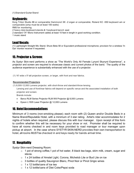#### (1)Standard Guitar Stand

#### Keyboards:

Korg Triton Studio 88 or comparable Hammond XK -2 organ or comparable; Roland KC -550 keyboard am or comparable (amp must be at least 100 watts)

RMS for monitoring.

2 heavy duty keyboard stands & 1 keyboard bench seat

2 standard 1/4" Mono Instrument cables at least 15 feet in length in good working condition.

1 music stand

#### Lead Vocals:

(1) Lightweight Straight Mic Stand; Shure Beta 58 or Equivalent professional microphone; provision for a wireless 'In Ear' monitor receiver if requested.

#### 15. Projector & Screen:

As Systyr Skin-nerd performs a show as "The World's Only All Female Lynyrd Skynyrd Experience", a projector and screen are required to showcase classic and current photos of the band. The quality of the audience experience is substantially enhanced with the use of a projector.

(1) 16' wide x 9' tall projection screen, or larger, with front and rear fabrics.

#### **Recommended Projectors**

(1) 8,000-12,000 Lumens projector, with short-throw and standard-throw lensing.

Lensing and use of front/rear fabrics will depend on specific venue and the associated installation of both projector and screen.

Brands include:

- Barco RLM Series Projector RLM W8 Projector @ 8,000 Lumens
- Epson L1505 Laser Projector @ 12,000 Lumens

#### 16. Hotel Accommodations

Minimum of 3 rooms (non-smoking please); each room with (2) Queen and/or Double Beds in a Name Brand/Reputable Hotel, with a minimum of 3 star rating. Artist's rider accommodates for 2 nights of hotels when required, please discuss this with tour manager. Upon receipt of this form to confirm whether this will be necessary for your show or not. Promoter shall be required to have all rooms checked in and room keys provided to road manager or tour manager upon pickup at airport. In the case where SYSTYR SKIN-NERD provides their own transportation to hotel, allrooms MUSTbe checked in and keys ready for bands arrival time.

#### 17. Hospitality

Systyr Skin-nerd Dressing Room:

- o 1 pot of strong coffee,1 pot of hot water, 8 black tea bags, skim milk, cream, sugar and stevia.
- $\circ$  1 x 24 bottles of Amstel Light, Corona, Michelob Lite or Bud Lite on ice
- o 3 bottles of quality Sauvignon Blanc, Pinot Noir or Pinot Grigio wines
- o 1 x 12 bottle/cans of ice tea
- o 1 x 12 bottle/cans of Diet Coke/Pepsi soda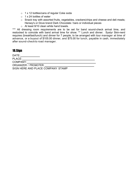- o 1 x 12 bottles/cans of regular Coke soda
- $\circ$  1 x 24 bottles of water
- o Snack tray with assorted fruits, vegetables, crackers/chips and cheese and deli meats; Hersey's or Dove brand Dark Chocolate / bars or individual pieces
- o At least 9/10 clean white hand towels.

\*\*\* All dressing room requirements are to be set for band sound-check arrival time, and restocked to coincide with band arrival time for show. \*\* Lunch and dinner. Systyr Skin-nerd requires (breakfast/lunch) and dinner for 7 people, to be arranged with tour manager at time of advance, or a buyout of \$105.00 dinner, and \$75.00 for lunch, payable in cash, immediately after sound-check to road manager.

#### 18.Sign

DATE:

PLACE:

COMPANY:

ORGANIZER / PROMOTER:

SIGN HERE AND PLACE COMPANY STAMP